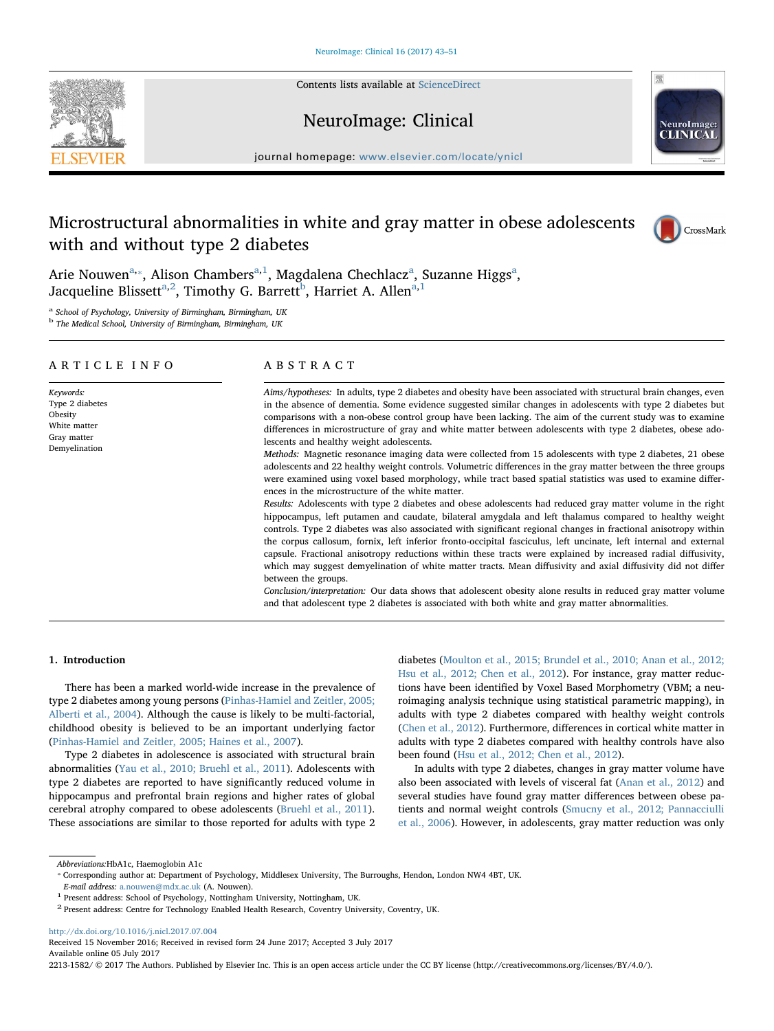Contents lists available at [ScienceDirect](http://www.sciencedirect.com/science/journal/22131582)

# NeuroImage: Clinical



journal homepage: [www.elsevier.com/locate/ynicl](http://www.elsevier.com/locate/ynicl)

# Microstructural abnormalities in white and gray matter in obese adolescents with and without type 2 diabetes



Arie Nouwen $\mathrm{^{a,\ast},}$  $\mathrm{^{a,\ast},}$  $\mathrm{^{a,\ast},}$  $\mathrm{^{a,\ast},}$  $\mathrm{^{a,\ast},}$  Alison Chambers $\mathrm{^{a,1}},$  $\mathrm{^{a,1}},$  $\mathrm{^{a,1}},$  Magdalena Chechlacz $\mathrm{^{a},}$  Suzanne Higgs $\mathrm{^{a},}$ Jacqueline Blissett<sup>[a,](#page-0-0)[2](#page-0-3)</sup>, Timothy G. Barrett<sup>[b](#page-0-4)</sup>, Harriet A. Allen<sup>a,[1](#page-0-2)</sup>

<span id="page-0-0"></span><sup>a</sup> School of Psychology, University of Birmingham, Birmingham, UK

<span id="page-0-4"></span><sup>b</sup> The Medical School, University of Birmingham, Birmingham, UK

### ARTICLE INFO

Keywords: Type 2 diabetes Obesity White matter Gray matter Demyelination

## ABSTRACT

Aims/hypotheses: In adults, type 2 diabetes and obesity have been associated with structural brain changes, even in the absence of dementia. Some evidence suggested similar changes in adolescents with type 2 diabetes but comparisons with a non-obese control group have been lacking. The aim of the current study was to examine differences in microstructure of gray and white matter between adolescents with type 2 diabetes, obese adolescents and healthy weight adolescents.

Methods: Magnetic resonance imaging data were collected from 15 adolescents with type 2 diabetes, 21 obese adolescents and 22 healthy weight controls. Volumetric differences in the gray matter between the three groups were examined using voxel based morphology, while tract based spatial statistics was used to examine differences in the microstructure of the white matter.

Results: Adolescents with type 2 diabetes and obese adolescents had reduced gray matter volume in the right hippocampus, left putamen and caudate, bilateral amygdala and left thalamus compared to healthy weight controls. Type 2 diabetes was also associated with significant regional changes in fractional anisotropy within the corpus callosum, fornix, left inferior fronto-occipital fasciculus, left uncinate, left internal and external capsule. Fractional anisotropy reductions within these tracts were explained by increased radial diffusivity, which may suggest demyelination of white matter tracts. Mean diffusivity and axial diffusivity did not differ between the groups.

Conclusion/interpretation: Our data shows that adolescent obesity alone results in reduced gray matter volume and that adolescent type 2 diabetes is associated with both white and gray matter abnormalities.

#### 1. Introduction

There has been a marked world-wide increase in the prevalence of type 2 diabetes among young persons [\(Pinhas-Hamiel and Zeitler, 2005;](#page-8-0) [Alberti et al., 2004](#page-8-0)). Although the cause is likely to be multi-factorial, childhood obesity is believed to be an important underlying factor ([Pinhas-Hamiel and Zeitler, 2005; Haines et al., 2007](#page-8-0)).

Type 2 diabetes in adolescence is associated with structural brain abnormalities ([Yau et al., 2010; Bruehl et al., 2011](#page-8-1)). Adolescents with type 2 diabetes are reported to have significantly reduced volume in hippocampus and prefrontal brain regions and higher rates of global cerebral atrophy compared to obese adolescents ([Bruehl et al., 2011](#page-8-2)). These associations are similar to those reported for adults with type 2 diabetes [\(Moulton et al., 2015; Brundel et al., 2010; Anan et al., 2012;](#page-8-3) [Hsu et al., 2012; Chen et al., 2012\)](#page-8-3). For instance, gray matter reductions have been identified by Voxel Based Morphometry (VBM; a neuroimaging analysis technique using statistical parametric mapping), in adults with type 2 diabetes compared with healthy weight controls ([Chen et al., 2012](#page-8-4)). Furthermore, differences in cortical white matter in adults with type 2 diabetes compared with healthy controls have also been found [\(Hsu et al., 2012; Chen et al., 2012](#page-8-5)).

In adults with type 2 diabetes, changes in gray matter volume have also been associated with levels of visceral fat ([Anan et al., 2012\)](#page-8-6) and several studies have found gray matter differences between obese patients and normal weight controls ([Smucny et al., 2012; Pannacciulli](#page-8-7) [et al., 2006](#page-8-7)). However, in adolescents, gray matter reduction was only

<span id="page-0-1"></span>Abbreviations:HbA1c, Haemoglobin A1c

<http://dx.doi.org/10.1016/j.nicl.2017.07.004>

2213-1582/ © 2017 The Authors. Published by Elsevier Inc. This is an open access article under the CC BY license (http://creativecommons.org/licenses/BY/4.0/).

<sup>⁎</sup> Corresponding author at: Department of Psychology, Middlesex University, The Burroughs, Hendon, London NW4 4BT, UK.

E-mail address: [a.nouwen@mdx.ac.uk](mailto:a.nouwen@mdx.ac.uk) (A. Nouwen).

<span id="page-0-2"></span><sup>1</sup> Present address: School of Psychology, Nottingham University, Nottingham, UK.

<span id="page-0-3"></span> $^2$  Present address: Centre for Technology Enabled Health Research, Coventry University, Coventry, UK.

Received 15 November 2016; Received in revised form 24 June 2017; Accepted 3 July 2017 Available online 05 July 2017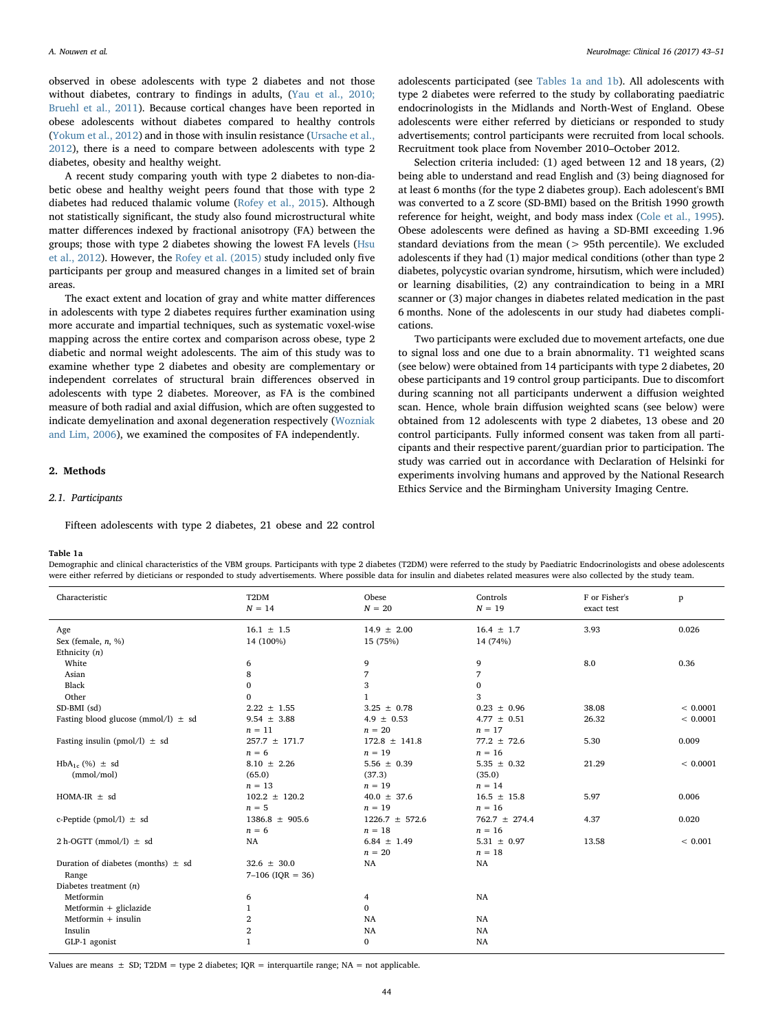observed in obese adolescents with type 2 diabetes and not those without diabetes, contrary to findings in adults, ([Yau et al., 2010;](#page-8-1) [Bruehl et al., 2011\)](#page-8-1). Because cortical changes have been reported in obese adolescents without diabetes compared to healthy controls ([Yokum et al., 2012\)](#page-8-8) and in those with insulin resistance [\(Ursache et al.,](#page-8-9) [2012\)](#page-8-9), there is a need to compare between adolescents with type 2 diabetes, obesity and healthy weight.

A recent study comparing youth with type 2 diabetes to non-diabetic obese and healthy weight peers found that those with type 2 diabetes had reduced thalamic volume ([Rofey et al., 2015\)](#page-8-10). Although not statistically significant, the study also found microstructural white matter differences indexed by fractional anisotropy (FA) between the groups; those with type 2 diabetes showing the lowest FA levels ([Hsu](#page-8-5) [et al., 2012\)](#page-8-5). However, the [Rofey et al. \(2015\)](#page-8-10) study included only five participants per group and measured changes in a limited set of brain areas.

The exact extent and location of gray and white matter differences in adolescents with type 2 diabetes requires further examination using more accurate and impartial techniques, such as systematic voxel-wise mapping across the entire cortex and comparison across obese, type 2 diabetic and normal weight adolescents. The aim of this study was to examine whether type 2 diabetes and obesity are complementary or independent correlates of structural brain differences observed in adolescents with type 2 diabetes. Moreover, as FA is the combined measure of both radial and axial diffusion, which are often suggested to indicate demyelination and axonal degeneration respectively ([Wozniak](#page-8-11) [and Lim, 2006\)](#page-8-11), we examined the composites of FA independently.

#### 2. Methods

### 2.1. Participants

Fifteen adolescents with type 2 diabetes, 21 obese and 22 control

#### <span id="page-1-0"></span>Table 1a

Demographic and clinical characteristics of the VBM groups. Participants with type 2 diabetes (T2DM) were referred to the study by Paediatric Endocrinologists and obese adolescents were either referred by dieticians or responded to study advertisements. Where possible data for insulin and diabetes related measures were also collected by the study team.

| Characteristic                          | T <sub>2</sub> DM<br>$N = 14$ | Obese<br>$N = 20$  | Controls<br>$N = 19$ | F or Fisher's<br>exact test | P        |
|-----------------------------------------|-------------------------------|--------------------|----------------------|-----------------------------|----------|
| Age                                     | $16.1 \pm 1.5$                | $14.9 \pm 2.00$    | $16.4 \pm 1.7$       | 3.93                        | 0.026    |
| Sex (female, $n, \%$ )                  | 14 (100%)                     | 15 (75%)           | 14 (74%)             |                             |          |
| Ethnicity $(n)$                         |                               |                    |                      |                             |          |
| White                                   | 6                             | 9                  | 9                    | 8.0                         | 0.36     |
| Asian                                   | 8                             | 7                  | 7                    |                             |          |
| Black                                   | $\mathbf{0}$                  | 3                  | $\mathbf{0}$         |                             |          |
| Other                                   | $\mathbf{0}$                  |                    | 3                    |                             |          |
| SD-BMI (sd)                             | $2.22 \pm 1.55$               | $3.25 \pm 0.78$    | $0.23 \pm 0.96$      | 38.08                       | < 0.0001 |
| Fasting blood glucose (mmol/l) $\pm$ sd | $9.54 \pm 3.88$               | $4.9 \pm 0.53$     | $4.77 \pm 0.51$      | 26.32                       | < 0.0001 |
|                                         | $n = 11$                      | $n = 20$           | $n = 17$             |                             |          |
| Fasting insulin (pmol/l) $\pm$ sd       | $257.7 \pm 171.7$             | $172.8 \pm 141.8$  | $77.2 \pm 72.6$      | 5.30                        | 0.009    |
|                                         | $n = 6$                       | $n = 19$           | $n = 16$             |                             |          |
| $HbA_{1c}$ (%) $\pm$ sd                 | $8.10 \pm 2.26$               | 5.56 $\pm$ 0.39    | $5.35 \pm 0.32$      | 21.29                       | < 0.0001 |
| (mmol/mol)                              | (65.0)                        | (37.3)             | (35.0)               |                             |          |
|                                         | $n = 13$                      | $n = 19$           | $n = 14$             |                             |          |
| HOMA-IR $\pm$ sd                        | $102.2 \pm 120.2$             | $40.0 \pm 37.6$    | $16.5 \pm 15.8$      | 5.97                        | 0.006    |
|                                         | $n = 5$                       | $n = 19$           | $n = 16$             |                             |          |
| c-Peptide (pmol/l) $\pm$ sd             | $1386.8 \pm 905.6$            | $1226.7 \pm 572.6$ | $762.7 \pm 274.4$    | 4.37                        | 0.020    |
|                                         | $n = 6$                       | $n = 18$           | $n = 16$             |                             |          |
| $2 h-OGTT$ (mmol/l) $\pm$ sd            | NA                            | $6.84 \pm 1.49$    | $5.31 \pm 0.97$      | 13.58                       | < 0.001  |
|                                         |                               | $n = 20$           | $n = 18$             |                             |          |
| Duration of diabetes (months) $\pm$ sd  | $32.6 \pm 30.0$               | NA                 | NA                   |                             |          |
| Range                                   | $7-106$ (IQR = 36)            |                    |                      |                             |          |
| Diabetes treatment $(n)$                |                               |                    |                      |                             |          |
| Metformin                               | 6                             | 4                  | NA                   |                             |          |
| $Meformin + gliclazide$                 | 1                             | 0                  |                      |                             |          |
| $Mefformin + insulin$                   | $\overline{2}$                | NA                 | <b>NA</b>            |                             |          |
| Insulin                                 | $\overline{2}$                | <b>NA</b>          | NA                   |                             |          |
| GLP-1 agonist                           | $\mathbf{1}$                  | $\mathbf{0}$       | <b>NA</b>            |                             |          |

adolescents participated (see [Tables 1a and 1b](#page-1-0)). All adolescents with type 2 diabetes were referred to the study by collaborating paediatric endocrinologists in the Midlands and North-West of England. Obese adolescents were either referred by dieticians or responded to study advertisements; control participants were recruited from local schools. Recruitment took place from November 2010–October 2012.

Selection criteria included: (1) aged between 12 and 18 years, (2) being able to understand and read English and (3) being diagnosed for at least 6 months (for the type 2 diabetes group). Each adolescent's BMI was converted to a Z score (SD-BMI) based on the British 1990 growth reference for height, weight, and body mass index ([Cole et al., 1995](#page-8-12)). Obese adolescents were defined as having a SD-BMI exceeding 1.96 standard deviations from the mean  $(> 95$ th percentile). We excluded adolescents if they had (1) major medical conditions (other than type 2 diabetes, polycystic ovarian syndrome, hirsutism, which were included) or learning disabilities, (2) any contraindication to being in a MRI scanner or (3) major changes in diabetes related medication in the past 6 months. None of the adolescents in our study had diabetes complications.

Two participants were excluded due to movement artefacts, one due to signal loss and one due to a brain abnormality. T1 weighted scans (see below) were obtained from 14 participants with type 2 diabetes, 20 obese participants and 19 control group participants. Due to discomfort during scanning not all participants underwent a diffusion weighted scan. Hence, whole brain diffusion weighted scans (see below) were obtained from 12 adolescents with type 2 diabetes, 13 obese and 20 control participants. Fully informed consent was taken from all participants and their respective parent/guardian prior to participation. The study was carried out in accordance with Declaration of Helsinki for experiments involving humans and approved by the National Research Ethics Service and the Birmingham University Imaging Centre.

Values are means  $\pm$  SD; T2DM = type 2 diabetes; IQR = interquartile range; NA = not applicable.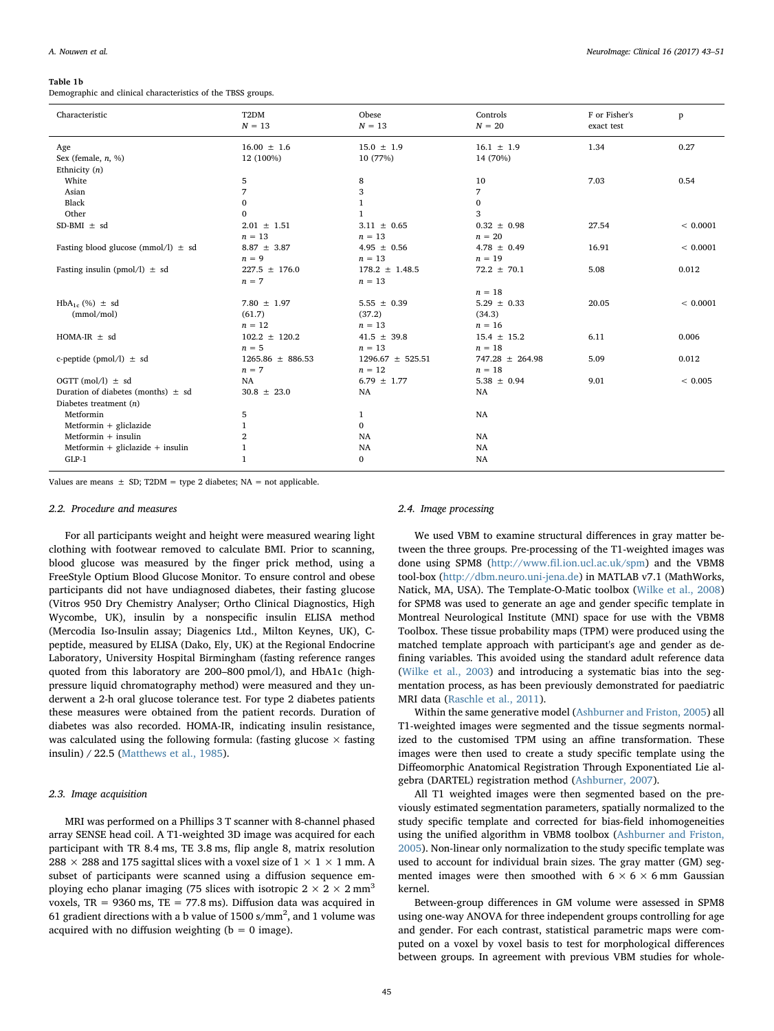#### Table 1b

Demographic and clinical characteristics of the TBSS groups.

| Characteristic                          | T <sub>2</sub> DM<br>$N = 13$ | Obese<br>$N = 13$          | Controls<br>$N = 20$       | F or Fisher's<br>exact test | p           |
|-----------------------------------------|-------------------------------|----------------------------|----------------------------|-----------------------------|-------------|
| Age<br>Sex (female, $n$ , %)            | $16.00 \pm 1.6$<br>12 (100%)  | $15.0 \pm 1.9$<br>10 (77%) | $16.1 \pm 1.9$<br>14 (70%) | 1.34                        | 0.27        |
| Ethnicity $(n)$                         |                               |                            |                            |                             |             |
| White                                   | 5                             | 8                          | 10                         | 7.03                        | 0.54        |
| Asian                                   | 7                             | 3                          | 7                          |                             |             |
| Black                                   | 0                             | $\mathbf{1}$               | 0                          |                             |             |
| Other                                   | $\Omega$                      | $\mathbf{1}$               | 3                          |                             |             |
| $SD-BMI \pm sd$                         | $2.01 \pm 1.51$               | $3.11 \pm 0.65$            | $0.32 \pm 0.98$            | 27.54                       | < 0.0001    |
|                                         | $n = 13$                      | $n = 13$                   | $n = 20$                   |                             |             |
| Fasting blood glucose (mmol/l) $\pm$ sd | $8.87 \pm 3.87$               | 4.95 $\pm$ 0.56            | $4.78 \pm 0.49$            | 16.91                       | < 0.0001    |
|                                         | $n = 9$                       | $n = 13$                   | $n = 19$                   |                             |             |
| Fasting insulin (pmol/l) $\pm$ sd       | $227.5 \pm 176.0$             | $178.2 \pm 1.48.5$         | $72.2 \pm 70.1$            | 5.08                        | 0.012       |
|                                         | $n = 7$                       | $n = 13$                   |                            |                             |             |
|                                         |                               |                            | $n = 18$                   |                             |             |
| $HbA_{1c}$ (%) $\pm$ sd                 | $7.80 \pm 1.97$               | $5.55 \pm 0.39$            | $5.29 \pm 0.33$            | 20.05                       | < 0.0001    |
| (mmol/mol)                              | (61.7)                        | (37.2)                     | (34.3)                     |                             |             |
|                                         | $n = 12$                      | $n = 13$                   | $n = 16$                   |                             |             |
| HOMA-IR $\pm$ sd                        | $102.2 \pm 120.2$             | 41.5 $\pm$ 39.8            | $15.4 \pm 15.2$            | 6.11                        | 0.006       |
|                                         | $n = 5$                       | $n = 13$                   | $n = 18$                   |                             |             |
| c-peptide (pmol/l) $\pm$ sd             | $1265.86 \pm 886.53$          | $1296.67 \pm 525.51$       | $747.28 \pm 264.98$        | 5.09                        | 0.012       |
|                                         | $n = 7$                       | $n = 12$                   | $n = 18$                   |                             |             |
| OGTT (mol/l) $\pm$ sd                   | NA                            | $6.79 \pm 1.77$            | $5.38 \pm 0.94$            | 9.01                        | ${}< 0.005$ |
| Duration of diabetes (months) $\pm$ sd  | $30.8 \pm 23.0$               | <b>NA</b>                  | NA                         |                             |             |
| Diabetes treatment $(n)$                |                               |                            |                            |                             |             |
| Metformin                               | 5                             | $\mathbf{1}$               | NA                         |                             |             |
| Metformin $+$ gliclazide                | 1                             | $\mathbf{0}$               |                            |                             |             |
| $Mefformin + insulin$                   | $\overline{2}$                | NA                         | NA                         |                             |             |
| Metformin + gliclazide + insulin        | 1                             | NA                         | NA                         |                             |             |
| $GLP-1$                                 | $\mathbf{1}$                  |                            |                            |                             |             |
|                                         |                               | $\bf{0}$                   | NA                         |                             |             |

Values are means  $\pm$  SD; T2DM = type 2 diabetes; NA = not applicable.

#### 2.2. Procedure and measures

For all participants weight and height were measured wearing light clothing with footwear removed to calculate BMI. Prior to scanning, blood glucose was measured by the finger prick method, using a FreeStyle Optium Blood Glucose Monitor. To ensure control and obese participants did not have undiagnosed diabetes, their fasting glucose (Vitros 950 Dry Chemistry Analyser; Ortho Clinical Diagnostics, High Wycombe, UK), insulin by a nonspecific insulin ELISA method (Mercodia Iso-Insulin assay; Diagenics Ltd., Milton Keynes, UK), Cpeptide, measured by ELISA (Dako, Ely, UK) at the Regional Endocrine Laboratory, University Hospital Birmingham (fasting reference ranges quoted from this laboratory are 200–800 pmol/l), and HbA1c (highpressure liquid chromatography method) were measured and they underwent a 2-h oral glucose tolerance test. For type 2 diabetes patients these measures were obtained from the patient records. Duration of diabetes was also recorded. HOMA-IR, indicating insulin resistance, was calculated using the following formula: (fasting glucose  $\times$  fasting insulin) / 22.5 ([Matthews et al., 1985\)](#page-8-13).

#### 2.3. Image acquisition

MRI was performed on a Phillips 3 T scanner with 8-channel phased array SENSE head coil. A T1-weighted 3D image was acquired for each participant with TR 8.4 ms, TE 3.8 ms, flip angle 8, matrix resolution 288  $\times$  288 and 175 sagittal slices with a voxel size of 1  $\times$  1  $\times$  1 mm. A subset of participants were scanned using a diffusion sequence employing echo planar imaging (75 slices with isotropic  $2 \times 2 \times 2$  mm<sup>3</sup> voxels,  $TR = 9360$  ms,  $TE = 77.8$  ms). Diffusion data was acquired in 61 gradient directions with a b value of 1500 s/mm<sup>2</sup>, and 1 volume was acquired with no diffusion weighting ( $b = 0$  image).

### 2.4. Image processing

We used VBM to examine structural differences in gray matter between the three groups. Pre-processing of the T1-weighted images was done using SPM8 (http://www.fi[l.ion.ucl.ac.uk/spm\)](http://www.fil.ion.ucl.ac.uk/spm) and the VBM8 tool-box [\(http://dbm.neuro.uni-jena.de\)](http://dbm.neuro.uni-jena.de) in MATLAB v7.1 (MathWorks, Natick, MA, USA). The Template-O-Matic toolbox [\(Wilke et al., 2008\)](#page-8-14) for SPM8 was used to generate an age and gender specific template in Montreal Neurological Institute (MNI) space for use with the VBM8 Toolbox. These tissue probability maps (TPM) were produced using the matched template approach with participant's age and gender as defining variables. This avoided using the standard adult reference data ([Wilke et al., 2003\)](#page-8-15) and introducing a systematic bias into the segmentation process, as has been previously demonstrated for paediatric MRI data [\(Raschle et al., 2011](#page-8-16)).

Within the same generative model ([Ashburner and Friston, 2005\)](#page-8-17) all T1-weighted images were segmented and the tissue segments normalized to the customised TPM using an affine transformation. These images were then used to create a study specific template using the Diffeomorphic Anatomical Registration Through Exponentiated Lie algebra (DARTEL) registration method [\(Ashburner, 2007\)](#page-8-18).

All T1 weighted images were then segmented based on the previously estimated segmentation parameters, spatially normalized to the study specific template and corrected for bias-field inhomogeneities using the unified algorithm in VBM8 toolbox [\(Ashburner and Friston,](#page-8-17) [2005\)](#page-8-17). Non-linear only normalization to the study specific template was used to account for individual brain sizes. The gray matter (GM) segmented images were then smoothed with  $6 \times 6 \times 6$  mm Gaussian kernel.

Between-group differences in GM volume were assessed in SPM8 using one-way ANOVA for three independent groups controlling for age and gender. For each contrast, statistical parametric maps were computed on a voxel by voxel basis to test for morphological differences between groups. In agreement with previous VBM studies for whole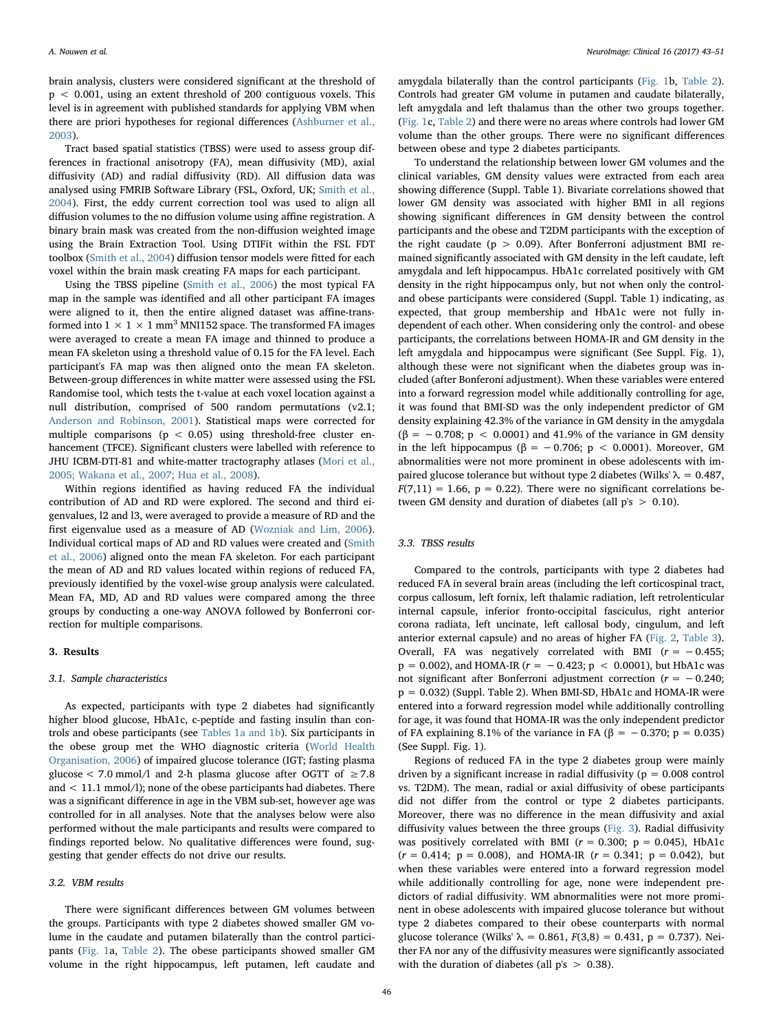brain analysis, clusters were considered significant at the threshold of p < 0.001, using an extent threshold of 200 contiguous voxels. This level is in agreement with published standards for applying VBM when there are priori hypotheses for regional differences [\(Ashburner et al.,](#page-8-19) [2003\)](#page-8-19).

Tract based spatial statistics (TBSS) were used to assess group differences in fractional anisotropy (FA), mean diffusivity (MD), axial diffusivity (AD) and radial diffusivity (RD). All diffusion data was analysed using FMRIB Software Library (FSL, Oxford, UK; [Smith et al.,](#page-8-20) [2004\)](#page-8-20). First, the eddy current correction tool was used to align all diffusion volumes to the no diffusion volume using affine registration. A binary brain mask was created from the non-diffusion weighted image using the Brain Extraction Tool. Using DTIFit within the FSL FDT toolbox [\(Smith et al., 2004](#page-8-20)) diffusion tensor models were fitted for each voxel within the brain mask creating FA maps for each participant.

Using the TBSS pipeline [\(Smith et al., 2006](#page-8-21)) the most typical FA map in the sample was identified and all other participant FA images were aligned to it, then the entire aligned dataset was affine-transformed into  $1 \times 1 \times 1$  mm<sup>3</sup> MNI152 space. The transformed FA images were averaged to create a mean FA image and thinned to produce a mean FA skeleton using a threshold value of 0.15 for the FA level. Each participant's FA map was then aligned onto the mean FA skeleton. Between-group differences in white matter were assessed using the FSL Randomise tool, which tests the t-value at each voxel location against a null distribution, comprised of 500 random permutations (v2.1; [Anderson and Robinson, 2001\)](#page-8-22). Statistical maps were corrected for multiple comparisons ( $p < 0.05$ ) using threshold-free cluster enhancement (TFCE). Significant clusters were labelled with reference to JHU ICBM-DTI-81 and white-matter tractography atlases [\(Mori et al.,](#page-8-23) [2005; Wakana et al., 2007; Hua et al., 2008](#page-8-23)).

Within regions identified as having reduced FA the individual contribution of AD and RD were explored. The second and third eigenvalues, l2 and l3, were averaged to provide a measure of RD and the first eigenvalue used as a measure of AD ([Wozniak and Lim, 2006](#page-8-11)). Individual cortical maps of AD and RD values were created and [\(Smith](#page-8-21) [et al., 2006\)](#page-8-21) aligned onto the mean FA skeleton. For each participant the mean of AD and RD values located within regions of reduced FA, previously identified by the voxel-wise group analysis were calculated. Mean FA, MD, AD and RD values were compared among the three groups by conducting a one-way ANOVA followed by Bonferroni correction for multiple comparisons.

#### 3. Results

#### 3.1. Sample characteristics

As expected, participants with type 2 diabetes had significantly higher blood glucose, HbA1c, c-peptide and fasting insulin than controls and obese participants (see [Tables 1a and 1b](#page-1-0)). Six participants in the obese group met the WHO diagnostic criteria [\(World Health](#page-8-24) [Organisation, 2006](#page-8-24)) of impaired glucose tolerance (IGT; fasting plasma glucose < 7.0 mmol/l and 2-h plasma glucose after OGTT of  $\geq$  7.8 and < 11.1 mmol/l); none of the obese participants had diabetes. There was a significant difference in age in the VBM sub-set, however age was controlled for in all analyses. Note that the analyses below were also performed without the male participants and results were compared to findings reported below. No qualitative differences were found, suggesting that gender effects do not drive our results.

#### 3.2. VBM results

There were significant differences between GM volumes between the groups. Participants with type 2 diabetes showed smaller GM volume in the caudate and putamen bilaterally than the control participants [\(Fig. 1](#page-4-0)a, [Table 2\)](#page-5-0). The obese participants showed smaller GM volume in the right hippocampus, left putamen, left caudate and

amygdala bilaterally than the control participants ([Fig. 1](#page-4-0)b, [Table 2](#page-5-0)). Controls had greater GM volume in putamen and caudate bilaterally, left amygdala and left thalamus than the other two groups together. ([Fig. 1](#page-4-0)c, [Table 2](#page-5-0)) and there were no areas where controls had lower GM volume than the other groups. There were no significant differences between obese and type 2 diabetes participants.

To understand the relationship between lower GM volumes and the clinical variables, GM density values were extracted from each area showing difference (Suppl. Table 1). Bivariate correlations showed that lower GM density was associated with higher BMI in all regions showing significant differences in GM density between the control participants and the obese and T2DM participants with the exception of the right caudate ( $p > 0.09$ ). After Bonferroni adjustment BMI remained significantly associated with GM density in the left caudate, left amygdala and left hippocampus. HbA1c correlated positively with GM density in the right hippocampus only, but not when only the controland obese participants were considered (Suppl. Table 1) indicating, as expected, that group membership and HbA1c were not fully independent of each other. When considering only the control- and obese participants, the correlations between HOMA-IR and GM density in the left amygdala and hippocampus were significant (See Suppl. Fig. 1), although these were not significant when the diabetes group was included (after Bonferoni adjustment). When these variables were entered into a forward regression model while additionally controlling for age, it was found that BMI-SD was the only independent predictor of GM density explaining 42.3% of the variance in GM density in the amygdala  $(\beta = -0.708; p < 0.0001)$  and 41.9% of the variance in GM density in the left hippocampus (β = −0.706; p < 0.0001). Moreover, GM abnormalities were not more prominent in obese adolescents with impaired glucose tolerance but without type 2 diabetes (Wilks'  $\lambda = 0.487$ ,  $F(7,11) = 1.66$ ,  $p = 0.22$ ). There were no significant correlations between GM density and duration of diabetes (all p's > 0.10).

#### 3.3. TBSS results

Compared to the controls, participants with type 2 diabetes had reduced FA in several brain areas (including the left corticospinal tract, corpus callosum, left fornix, left thalamic radiation, left retrolenticular internal capsule, inferior fronto-occipital fasciculus, right anterior corona radiata, left uncinate, left callosal body, cingulum, and left anterior external capsule) and no areas of higher FA [\(Fig. 2,](#page-5-1) [Table 3](#page-6-0)). Overall, FA was negatively correlated with BMI ( $r = -0.455$ ;  $p = 0.002$ ), and HOMA-IR ( $r = -0.423$ ;  $p < 0.0001$ ), but HbA1c was not significant after Bonferroni adjustment correction ( $r = -0.240$ ; p = 0.032) (Suppl. Table 2). When BMI-SD, HbA1c and HOMA-IR were entered into a forward regression model while additionally controlling for age, it was found that HOMA-IR was the only independent predictor of FA explaining 8.1% of the variance in FA ( $\beta = -0.370$ ; p = 0.035) (See Suppl. Fig. 1).

Regions of reduced FA in the type 2 diabetes group were mainly driven by a significant increase in radial diffusivity ( $p = 0.008$  control vs. T2DM). The mean, radial or axial diffusivity of obese participants did not differ from the control or type 2 diabetes participants. Moreover, there was no difference in the mean diffusivity and axial diffusivity values between the three groups ([Fig. 3](#page-6-1)). Radial diffusivity was positively correlated with BMI ( $r = 0.300$ ;  $p = 0.045$ ), HbA1c  $(r = 0.414; p = 0.008)$ , and HOMA-IR  $(r = 0.341; p = 0.042)$ , but when these variables were entered into a forward regression model while additionally controlling for age, none were independent predictors of radial diffusivity. WM abnormalities were not more prominent in obese adolescents with impaired glucose tolerance but without type 2 diabetes compared to their obese counterparts with normal glucose tolerance (Wilks'  $\lambda = 0.861$ ,  $F(3,8) = 0.431$ ,  $p = 0.737$ ). Neither FA nor any of the diffusivity measures were significantly associated with the duration of diabetes (all  $p's > 0.38$ ).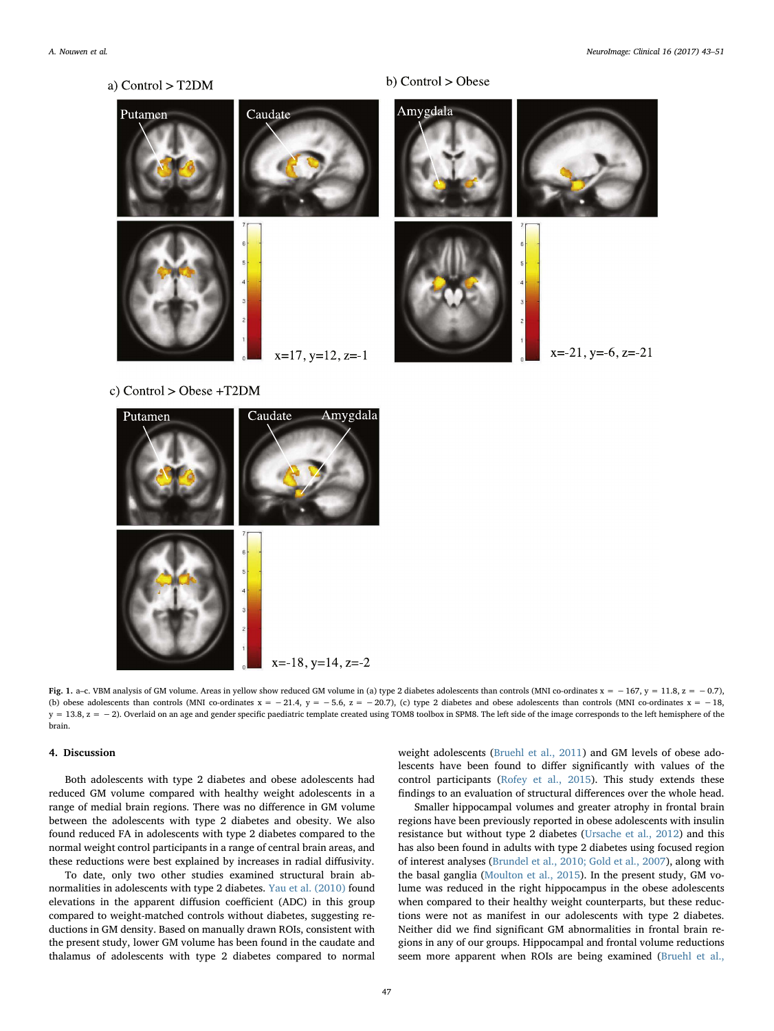<span id="page-4-0"></span>a) Control > T2DM Amygdala Caudate Putamen  $x = 21$ ,  $y = -6$ ,  $z = -21$  $x=17$ ,  $y=12$ ,  $z=-1$ 

b) Control > Obese

c) Control  $>$  Obese +T2DM



Fig. 1. a–c. VBM analysis of GM volume. Areas in yellow show reduced GM volume in (a) type 2 diabetes adolescents than controls (MNI co-ordinates x = -167, y = 11.8, z = -0.7), (b) obese adolescents than controls (MNI co-ordinates  $x = -21.4$ ,  $y = -5.6$ ,  $z = -20.7$ ), (c) type 2 diabetes and obese adolescents than controls (MNI co-ordinates  $x = -18$ , y = 13.8, z = −2). Overlaid on an age and gender specific paediatric template created using TOM8 toolbox in SPM8. The left side of the image corresponds to the left hemisphere of the brain.

### 4. Discussion

Both adolescents with type 2 diabetes and obese adolescents had reduced GM volume compared with healthy weight adolescents in a range of medial brain regions. There was no difference in GM volume between the adolescents with type 2 diabetes and obesity. We also found reduced FA in adolescents with type 2 diabetes compared to the normal weight control participants in a range of central brain areas, and these reductions were best explained by increases in radial diffusivity.

To date, only two other studies examined structural brain abnormalities in adolescents with type 2 diabetes. [Yau et al. \(2010\)](#page-8-1) found elevations in the apparent diffusion coefficient (ADC) in this group compared to weight-matched controls without diabetes, suggesting reductions in GM density. Based on manually drawn ROIs, consistent with the present study, lower GM volume has been found in the caudate and thalamus of adolescents with type 2 diabetes compared to normal

weight adolescents [\(Bruehl et al., 2011](#page-8-2)) and GM levels of obese adolescents have been found to differ significantly with values of the control participants ([Rofey et al., 2015](#page-8-10)). This study extends these findings to an evaluation of structural differences over the whole head.

Smaller hippocampal volumes and greater atrophy in frontal brain regions have been previously reported in obese adolescents with insulin resistance but without type 2 diabetes [\(Ursache et al., 2012\)](#page-8-9) and this has also been found in adults with type 2 diabetes using focused region of interest analyses [\(Brundel et al., 2010; Gold et al., 2007\)](#page-8-25), along with the basal ganglia [\(Moulton et al., 2015\)](#page-8-3). In the present study, GM volume was reduced in the right hippocampus in the obese adolescents when compared to their healthy weight counterparts, but these reductions were not as manifest in our adolescents with type 2 diabetes. Neither did we find significant GM abnormalities in frontal brain regions in any of our groups. Hippocampal and frontal volume reductions seem more apparent when ROIs are being examined ([Bruehl et al.,](#page-8-2)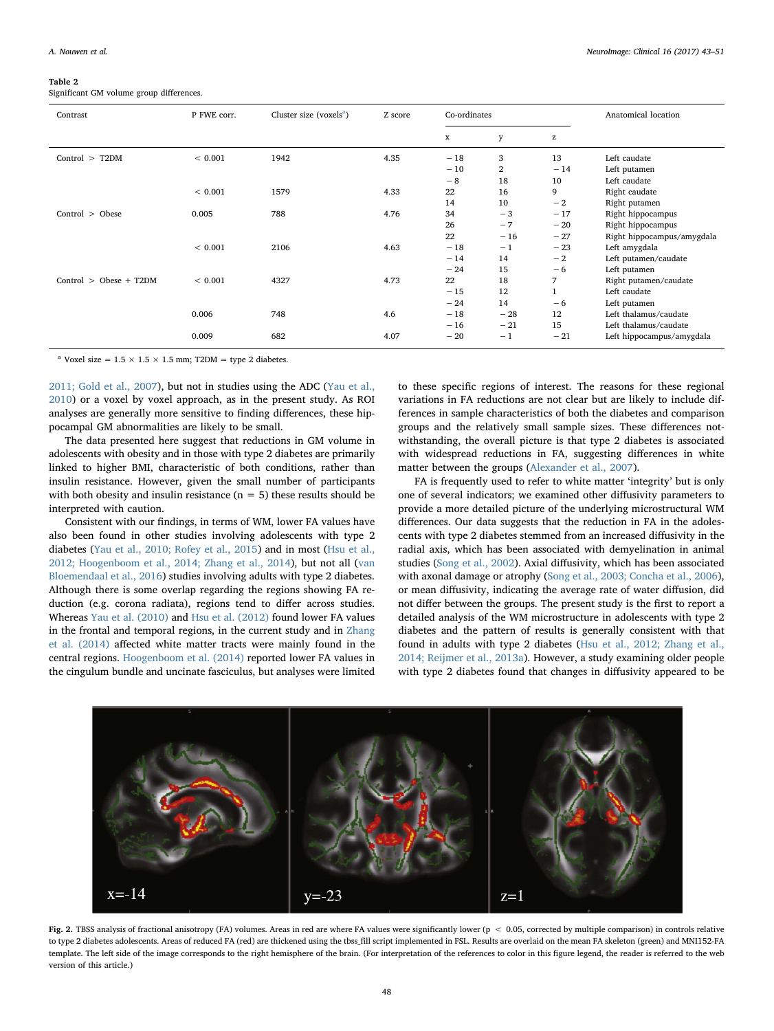#### <span id="page-5-0"></span>Table 2

Significant GM volume group differences.

| Contrast                 | P FWE corr. | Cluster size (voxels $a$ ) | Z score | Co-ordinates |              |       | Anatomical location        |
|--------------------------|-------------|----------------------------|---------|--------------|--------------|-------|----------------------------|
|                          |             |                            |         | x            | у            | z     |                            |
| Control $>$ T2DM         | ${}< 0.001$ | 1942                       | 4.35    | $-18$        | 3            | 13    | Left caudate               |
|                          |             |                            |         | $-10$        | $\mathbf{2}$ | $-14$ | Left putamen               |
|                          |             |                            |         | $-8$         | 18           | 10    | Left caudate               |
|                          | ${}< 0.001$ | 1579                       | 4.33    | 22           | 16           | 9     | Right caudate              |
|                          |             |                            |         | 14           | 10           | $-2$  | Right putamen              |
| Control > Obese          | 0.005       | 788                        | 4.76    | 34           | $-3$         | $-17$ | Right hippocampus          |
|                          |             |                            |         | 26           | $-7$         | $-20$ | Right hippocampus          |
|                          |             |                            |         | 22           | $-16$        | $-27$ | Right hippocampus/amygdala |
|                          | ${}< 0.001$ | 2106                       | 4.63    | $-18$        | $-1$         | $-23$ | Left amygdala              |
|                          |             |                            |         | $-14$        | 14           | $-2$  | Left putamen/caudate       |
|                          |             |                            |         | $-24$        | 15           | $-6$  | Left putamen               |
| $Control > Obese + T2DM$ | ${}< 0.001$ | 4327                       | 4.73    | 22           | 18           | 7     | Right putamen/caudate      |
|                          |             |                            |         | $-15$        | 12           |       | Left caudate               |
|                          |             |                            |         | $-24$        | 14           | $-6$  | Left putamen               |
|                          | 0.006       | 748                        | 4.6     | $-18$        | $-28$        | 12    | Left thalamus/caudate      |
|                          |             |                            |         | $-16$        | $-21$        | 15    | Left thalamus/caudate      |
|                          | 0.009       | 682                        | 4.07    | $-20$        | $-1$         | $-21$ | Left hippocampus/amygdala  |

<span id="page-5-2"></span><sup>a</sup> Voxel size =  $1.5 \times 1.5 \times 1.5$  mm; T2DM = type 2 diabetes.

[2011; Gold et al., 2007](#page-8-2)), but not in studies using the ADC [\(Yau et al.,](#page-8-1) [2010\)](#page-8-1) or a voxel by voxel approach, as in the present study. As ROI analyses are generally more sensitive to finding differences, these hippocampal GM abnormalities are likely to be small.

The data presented here suggest that reductions in GM volume in adolescents with obesity and in those with type 2 diabetes are primarily linked to higher BMI, characteristic of both conditions, rather than insulin resistance. However, given the small number of participants with both obesity and insulin resistance  $(n = 5)$  these results should be interpreted with caution.

Consistent with our findings, in terms of WM, lower FA values have also been found in other studies involving adolescents with type 2 diabetes [\(Yau et al., 2010; Rofey et al., 2015](#page-8-1)) and in most [\(Hsu et al.,](#page-8-5) [2012; Hoogenboom et al., 2014; Zhang et al., 2014\)](#page-8-5), but not all ([van](#page-8-26) [Bloemendaal et al., 2016\)](#page-8-26) studies involving adults with type 2 diabetes. Although there is some overlap regarding the regions showing FA reduction (e.g. corona radiata), regions tend to differ across studies. Whereas [Yau et al. \(2010\)](#page-8-1) and [Hsu et al. \(2012\)](#page-8-5) found lower FA values in the frontal and temporal regions, in the current study and in [Zhang](#page-8-27) [et al. \(2014\)](#page-8-27) affected white matter tracts were mainly found in the central regions. [Hoogenboom et al. \(2014\)](#page-8-28) reported lower FA values in the cingulum bundle and uncinate fasciculus, but analyses were limited

to these specific regions of interest. The reasons for these regional variations in FA reductions are not clear but are likely to include differences in sample characteristics of both the diabetes and comparison groups and the relatively small sample sizes. These differences notwithstanding, the overall picture is that type 2 diabetes is associated with widespread reductions in FA, suggesting differences in white matter between the groups [\(Alexander et al., 2007](#page-8-29)).

FA is frequently used to refer to white matter 'integrity' but is only one of several indicators; we examined other diffusivity parameters to provide a more detailed picture of the underlying microstructural WM differences. Our data suggests that the reduction in FA in the adolescents with type 2 diabetes stemmed from an increased diffusivity in the radial axis, which has been associated with demyelination in animal studies [\(Song et al., 2002](#page-8-30)). Axial diffusivity, which has been associated with axonal damage or atrophy ([Song et al., 2003; Concha et al., 2006](#page-8-31)), or mean diffusivity, indicating the average rate of water diffusion, did not differ between the groups. The present study is the first to report a detailed analysis of the WM microstructure in adolescents with type 2 diabetes and the pattern of results is generally consistent with that found in adults with type 2 diabetes ([Hsu et al., 2012; Zhang et al.,](#page-8-5) [2014; Reijmer et al., 2013a](#page-8-5)). However, a study examining older people with type 2 diabetes found that changes in diffusivity appeared to be

<span id="page-5-1"></span>

Fig. 2. TBSS analysis of fractional anisotropy (FA) volumes. Areas in red are where FA values were significantly lower (p < 0.05, corrected by multiple comparison) in controls relative to type 2 diabetes adolescents. Areas of reduced FA (red) are thickened using the tbss\_fill script implemented in FSL. Results are overlaid on the mean FA skeleton (green) and MNI152-FA template. The left side of the image corresponds to the right hemisphere of the brain. (For interpretation of the references to color in this figure legend, the reader is referred to the web version of this article.)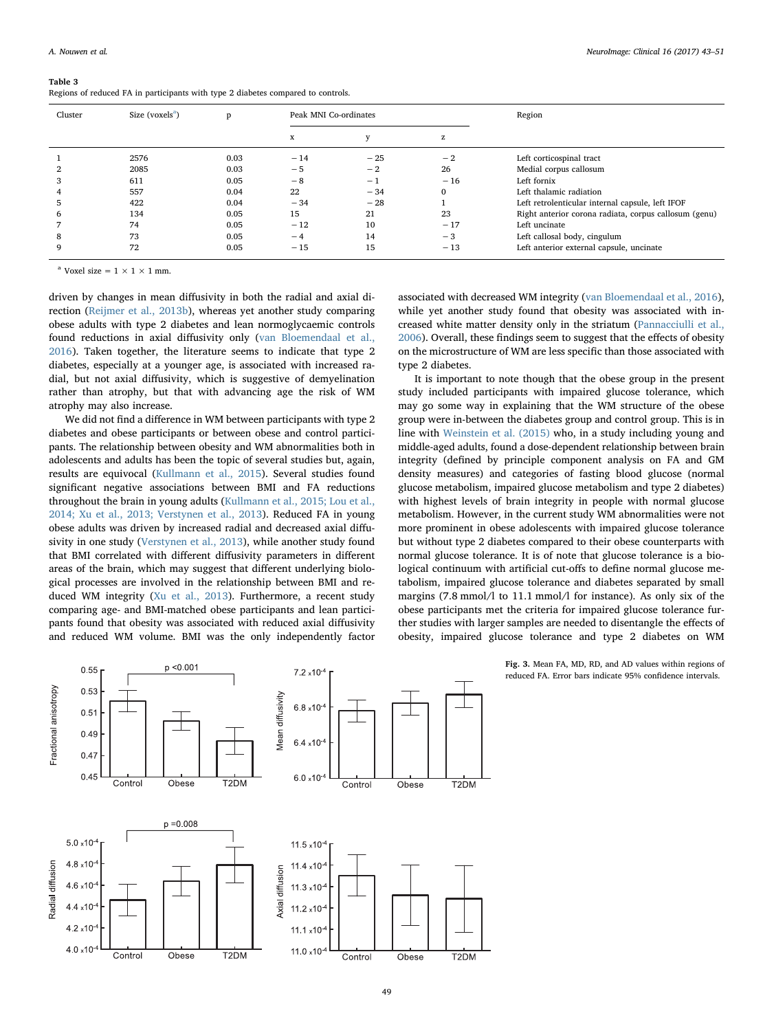<span id="page-6-0"></span>Table 3 Regions of reduced FA in participants with type 2 diabetes compared to controls.

| Cluster | Size (voxels <sup>a</sup> ) | D    | Peak MNI Co-ordinates |       |          | Region                                                |
|---------|-----------------------------|------|-----------------------|-------|----------|-------------------------------------------------------|
|         |                             |      | x                     |       | z        |                                                       |
|         | 2576                        | 0.03 | $-14$                 | $-25$ | $-2$     | Left corticospinal tract                              |
|         | 2085                        | 0.03 | $-5$                  | $-2$  | 26       | Medial corpus callosum                                |
|         | 611                         | 0.05 | $-8$                  | $-1$  | $-16$    | Left fornix                                           |
|         | 557                         | 0.04 | 22                    | $-34$ | $\Omega$ | Left thalamic radiation                               |
| 5       | 422                         | 0.04 | $-34$                 | $-28$ |          | Left retrolenticular internal capsule, left IFOF      |
| 6       | 134                         | 0.05 | 15                    | 21    | 23       | Right anterior corona radiata, corpus callosum (genu) |
|         | 74                          | 0.05 | $-12$                 | 10    | $-17$    | Left uncinate                                         |
| 8       | 73                          | 0.05 | $-4$                  | 14    | $-3$     | Left callosal body, cingulum                          |
| 9       | 72                          | 0.05 | $-15$                 | 15    | $-13$    | Left anterior external capsule, uncinate              |

<span id="page-6-2"></span><sup>a</sup> Voxel size =  $1 \times 1 \times 1$  mm.

driven by changes in mean diffusivity in both the radial and axial direction [\(Reijmer et al., 2013b\)](#page-8-32), whereas yet another study comparing obese adults with type 2 diabetes and lean normoglycaemic controls found reductions in axial diffusivity only ([van Bloemendaal et al.,](#page-8-26) [2016\)](#page-8-26). Taken together, the literature seems to indicate that type 2 diabetes, especially at a younger age, is associated with increased radial, but not axial diffusivity, which is suggestive of demyelination rather than atrophy, but that with advancing age the risk of WM atrophy may also increase.

We did not find a difference in WM between participants with type 2 diabetes and obese participants or between obese and control participants. The relationship between obesity and WM abnormalities both in adolescents and adults has been the topic of several studies but, again, results are equivocal [\(Kullmann et al., 2015](#page-8-33)). Several studies found significant negative associations between BMI and FA reductions throughout the brain in young adults [\(Kullmann et al., 2015; Lou et al.,](#page-8-33) [2014; Xu et al., 2013; Verstynen et al., 2013\)](#page-8-33). Reduced FA in young obese adults was driven by increased radial and decreased axial diffusivity in one study ([Verstynen et al., 2013](#page-8-34)), while another study found that BMI correlated with different diffusivity parameters in different areas of the brain, which may suggest that different underlying biological processes are involved in the relationship between BMI and reduced WM integrity [\(Xu et al., 2013\)](#page-8-35). Furthermore, a recent study comparing age- and BMI-matched obese participants and lean participants found that obesity was associated with reduced axial diffusivity and reduced WM volume. BMI was the only independently factor associated with decreased WM integrity ([van Bloemendaal et al., 2016](#page-8-26)), while yet another study found that obesity was associated with increased white matter density only in the striatum ([Pannacciulli et al.,](#page-8-36) [2006\)](#page-8-36). Overall, these findings seem to suggest that the effects of obesity on the microstructure of WM are less specific than those associated with type 2 diabetes.

It is important to note though that the obese group in the present study included participants with impaired glucose tolerance, which may go some way in explaining that the WM structure of the obese group were in-between the diabetes group and control group. This is in line with [Weinstein et al. \(2015\)](#page-8-37) who, in a study including young and middle-aged adults, found a dose-dependent relationship between brain integrity (defined by principle component analysis on FA and GM density measures) and categories of fasting blood glucose (normal glucose metabolism, impaired glucose metabolism and type 2 diabetes) with highest levels of brain integrity in people with normal glucose metabolism. However, in the current study WM abnormalities were not more prominent in obese adolescents with impaired glucose tolerance but without type 2 diabetes compared to their obese counterparts with normal glucose tolerance. It is of note that glucose tolerance is a biological continuum with artificial cut-offs to define normal glucose metabolism, impaired glucose tolerance and diabetes separated by small margins (7.8 mmol/l to 11.1 mmol/l for instance). As only six of the obese participants met the criteria for impaired glucose tolerance further studies with larger samples are needed to disentangle the effects of obesity, impaired glucose tolerance and type 2 diabetes on WM

<span id="page-6-1"></span>

Fig. 3. Mean FA, MD, RD, and AD values within regions of reduced FA. Error bars indicate 95% confidence intervals.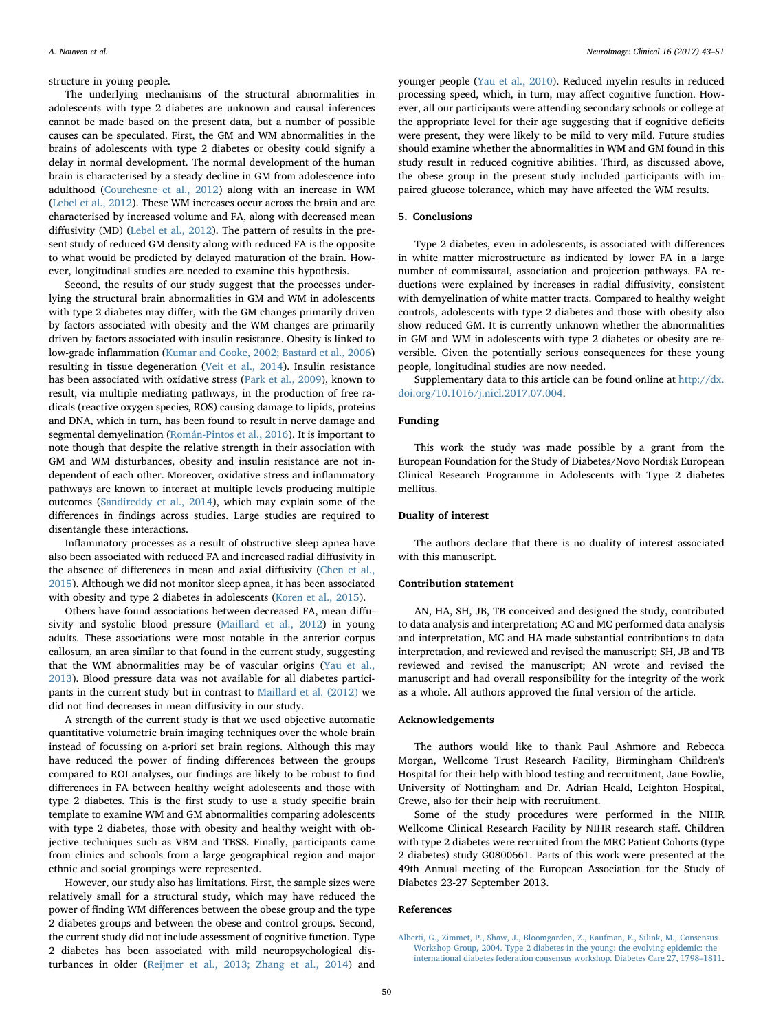structure in young people.

The underlying mechanisms of the structural abnormalities in adolescents with type 2 diabetes are unknown and causal inferences cannot be made based on the present data, but a number of possible causes can be speculated. First, the GM and WM abnormalities in the brains of adolescents with type 2 diabetes or obesity could signify a delay in normal development. The normal development of the human brain is characterised by a steady decline in GM from adolescence into adulthood [\(Courchesne et al., 2012](#page-8-38)) along with an increase in WM ([Lebel et al., 2012\)](#page-8-39). These WM increases occur across the brain and are characterised by increased volume and FA, along with decreased mean diffusivity (MD) ([Lebel et al., 2012](#page-8-39)). The pattern of results in the present study of reduced GM density along with reduced FA is the opposite to what would be predicted by delayed maturation of the brain. However, longitudinal studies are needed to examine this hypothesis.

Second, the results of our study suggest that the processes underlying the structural brain abnormalities in GM and WM in adolescents with type 2 diabetes may differ, with the GM changes primarily driven by factors associated with obesity and the WM changes are primarily driven by factors associated with insulin resistance. Obesity is linked to low-grade inflammation ([Kumar and Cooke, 2002; Bastard et al., 2006\)](#page-8-40) resulting in tissue degeneration ([Veit et al., 2014\)](#page-8-41). Insulin resistance has been associated with oxidative stress [\(Park et al., 2009](#page-8-42)), known to result, via multiple mediating pathways, in the production of free radicals (reactive oxygen species, ROS) causing damage to lipids, proteins and DNA, which in turn, has been found to result in nerve damage and segmental demyelination [\(Román-Pintos et al., 2016\)](#page-8-43). It is important to note though that despite the relative strength in their association with GM and WM disturbances, obesity and insulin resistance are not independent of each other. Moreover, oxidative stress and inflammatory pathways are known to interact at multiple levels producing multiple outcomes ([Sandireddy et al., 2014\)](#page-8-44), which may explain some of the differences in findings across studies. Large studies are required to disentangle these interactions.

Inflammatory processes as a result of obstructive sleep apnea have also been associated with reduced FA and increased radial diffusivity in the absence of differences in mean and axial diffusivity ([Chen et al.,](#page-8-45) [2015\)](#page-8-45). Although we did not monitor sleep apnea, it has been associated with obesity and type 2 diabetes in adolescents [\(Koren et al., 2015\)](#page-8-46).

Others have found associations between decreased FA, mean diffusivity and systolic blood pressure ([Maillard et al., 2012](#page-8-47)) in young adults. These associations were most notable in the anterior corpus callosum, an area similar to that found in the current study, suggesting that the WM abnormalities may be of vascular origins [\(Yau et al.,](#page-8-48) [2013\)](#page-8-48). Blood pressure data was not available for all diabetes participants in the current study but in contrast to [Maillard et al. \(2012\)](#page-8-47) we did not find decreases in mean diffusivity in our study.

A strength of the current study is that we used objective automatic quantitative volumetric brain imaging techniques over the whole brain instead of focussing on a-priori set brain regions. Although this may have reduced the power of finding differences between the groups compared to ROI analyses, our findings are likely to be robust to find differences in FA between healthy weight adolescents and those with type 2 diabetes. This is the first study to use a study specific brain template to examine WM and GM abnormalities comparing adolescents with type 2 diabetes, those with obesity and healthy weight with objective techniques such as VBM and TBSS. Finally, participants came from clinics and schools from a large geographical region and major ethnic and social groupings were represented.

However, our study also has limitations. First, the sample sizes were relatively small for a structural study, which may have reduced the power of finding WM differences between the obese group and the type 2 diabetes groups and between the obese and control groups. Second, the current study did not include assessment of cognitive function. Type 2 diabetes has been associated with mild neuropsychological disturbances in older ([Reijmer et al., 2013; Zhang et al., 2014](#page-8-32)) and younger people ([Yau et al., 2010](#page-8-1)). Reduced myelin results in reduced processing speed, which, in turn, may affect cognitive function. However, all our participants were attending secondary schools or college at the appropriate level for their age suggesting that if cognitive deficits were present, they were likely to be mild to very mild. Future studies should examine whether the abnormalities in WM and GM found in this study result in reduced cognitive abilities. Third, as discussed above, the obese group in the present study included participants with impaired glucose tolerance, which may have affected the WM results.

#### 5. Conclusions

Type 2 diabetes, even in adolescents, is associated with differences in white matter microstructure as indicated by lower FA in a large number of commissural, association and projection pathways. FA reductions were explained by increases in radial diffusivity, consistent with demyelination of white matter tracts. Compared to healthy weight controls, adolescents with type 2 diabetes and those with obesity also show reduced GM. It is currently unknown whether the abnormalities in GM and WM in adolescents with type 2 diabetes or obesity are reversible. Given the potentially serious consequences for these young people, longitudinal studies are now needed.

Supplementary data to this article can be found online at  $\frac{http://dx.}{$  $\frac{http://dx.}{$  $\frac{http://dx.}{$ [doi.org/10.1016/j.nicl.2017.07.004](http://dx.doi.org/10.1016/j.nicl.2017.07.004).

#### Funding

This work the study was made possible by a grant from the European Foundation for the Study of Diabetes/Novo Nordisk European Clinical Research Programme in Adolescents with Type 2 diabetes mellitus.

### Duality of interest

The authors declare that there is no duality of interest associated with this manuscript.

### Contribution statement

AN, HA, SH, JB, TB conceived and designed the study, contributed to data analysis and interpretation; AC and MC performed data analysis and interpretation, MC and HA made substantial contributions to data interpretation, and reviewed and revised the manuscript; SH, JB and TB reviewed and revised the manuscript; AN wrote and revised the manuscript and had overall responsibility for the integrity of the work as a whole. All authors approved the final version of the article.

#### Acknowledgements

The authors would like to thank Paul Ashmore and Rebecca Morgan, Wellcome Trust Research Facility, Birmingham Children's Hospital for their help with blood testing and recruitment, Jane Fowlie, University of Nottingham and Dr. Adrian Heald, Leighton Hospital, Crewe, also for their help with recruitment.

Some of the study procedures were performed in the NIHR Wellcome Clinical Research Facility by NIHR research staff. Children with type 2 diabetes were recruited from the MRC Patient Cohorts (type 2 diabetes) study G0800661. Parts of this work were presented at the 49th Annual meeting of the European Association for the Study of Diabetes 23-27 September 2013.

#### References

[Alberti, G., Zimmet, P., Shaw, J., Bloomgarden, Z., Kaufman, F., Silink, M., Consensus](http://refhub.elsevier.com/S2213-1582(17)30168-7/rf0005) [Workshop Group, 2004. Type 2 diabetes in the young: the evolving epidemic: the](http://refhub.elsevier.com/S2213-1582(17)30168-7/rf0005) [international diabetes federation consensus workshop. Diabetes Care 27, 1798](http://refhub.elsevier.com/S2213-1582(17)30168-7/rf0005)–1811.